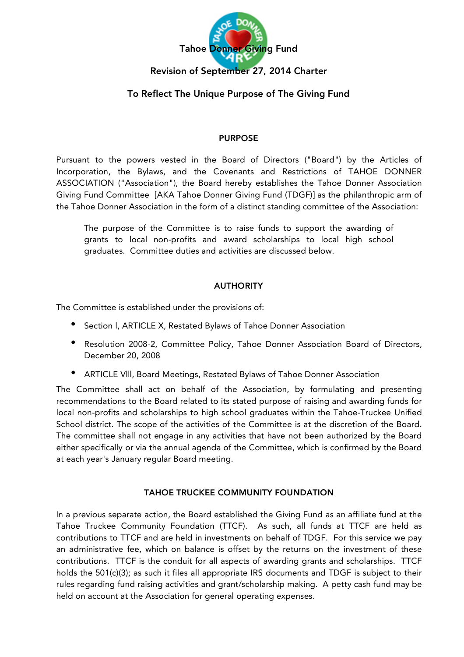

# To Reflect The Unique Purpose of The Giving Fund

### PURPOSE

Pursuant to the powers vested in the Board of Directors ("Board") by the Articles of Incorporation, the Bylaws, and the Covenants and Restrictions of TAHOE DONNER ASSOCIATION ("Association"), the Board hereby establishes the Tahoe Donner Association Giving Fund Committee [AKA Tahoe Donner Giving Fund (TDGF)] as the philanthropic arm of the Tahoe Donner Association in the form of a distinct standing committee of the Association:

The purpose of the Committee is to raise funds to support the awarding of grants to local non-profits and award scholarships to local high school graduates. Committee duties and activities are discussed below.

### AUTHORITY

The Committee is established under the provisions of:

- Section l, ARTICLE X, Restated Bylaws of Tahoe Donner Association
- Resolution 2008-2, Committee Policy, Tahoe Donner Association Board of Directors, December 20, 2008
- ARTICLE Vlll, Board Meetings, Restated Bylaws of Tahoe Donner Association

The Committee shall act on behalf of the Association, by formulating and presenting recommendations to the Board related to its stated purpose of raising and awarding funds for local non-profits and scholarships to high school graduates within the Tahoe-Truckee Unified School district. The scope of the activities of the Committee is at the discretion of the Board. The committee shall not engage in any activities that have not been authorized by the Board either specifically or via the annual agenda of the Committee, which is confirmed by the Board at each year's January regular Board meeting.

### TAHOE TRUCKEE COMMUNITY FOUNDATION

In a previous separate action, the Board established the Giving Fund as an affiliate fund at the Tahoe Truckee Community Foundation (TTCF). As such, all funds at TTCF are held as contributions to TTCF and are held in investments on behalf of TDGF. For this service we pay an administrative fee, which on balance is offset by the returns on the investment of these contributions. TTCF is the conduit for all aspects of awarding grants and scholarships. TTCF holds the 501(c)(3); as such it files all appropriate IRS documents and TDGF is subject to their rules regarding fund raising activities and grant/scholarship making. A petty cash fund may be held on account at the Association for general operating expenses.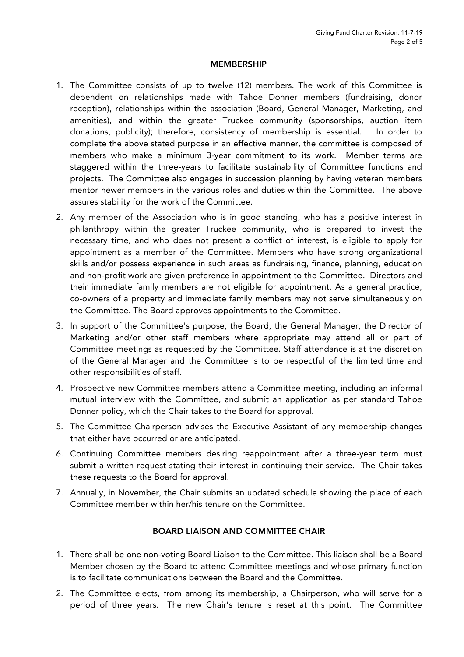#### MEMBERSHIP

- 1. The Committee consists of up to twelve (12) members. The work of this Committee is dependent on relationships made with Tahoe Donner members (fundraising, donor reception), relationships within the association (Board, General Manager, Marketing, and amenities), and within the greater Truckee community (sponsorships, auction item donations, publicity); therefore, consistency of membership is essential. In order to complete the above stated purpose in an effective manner, the committee is composed of members who make a minimum 3-year commitment to its work. Member terms are staggered within the three-years to facilitate sustainability of Committee functions and projects. The Committee also engages in succession planning by having veteran members mentor newer members in the various roles and duties within the Committee. The above assures stability for the work of the Committee.
- 2. Any member of the Association who is in good standing, who has a positive interest in philanthropy within the greater Truckee community, who is prepared to invest the necessary time, and who does not present a conflict of interest, is eligible to apply for appointment as a member of the Committee. Members who have strong organizational skills and/or possess experience in such areas as fundraising, finance, planning, education and non-profit work are given preference in appointment to the Committee. Directors and their immediate family members are not eligible for appointment. As a general practice, co-owners of a property and immediate family members may not serve simultaneously on the Committee. The Board approves appointments to the Committee.
- 3. In support of the Committee's purpose, the Board, the General Manager, the Director of Marketing and/or other staff members where appropriate may attend all or part of Committee meetings as requested by the Committee. Staff attendance is at the discretion of the General Manager and the Committee is to be respectful of the limited time and other responsibilities of staff.
- 4. Prospective new Committee members attend a Committee meeting, including an informal mutual interview with the Committee, and submit an application as per standard Tahoe Donner policy, which the Chair takes to the Board for approval.
- 5. The Committee Chairperson advises the Executive Assistant of any membership changes that either have occurred or are anticipated.
- 6. Continuing Committee members desiring reappointment after a three-year term must submit a written request stating their interest in continuing their service. The Chair takes these requests to the Board for approval.
- 7. Annually, in November, the Chair submits an updated schedule showing the place of each Committee member within her/his tenure on the Committee.

## BOARD LIAISON AND COMMITTEE CHAIR

- 1. There shall be one non-voting Board Liaison to the Committee. This liaison shall be a Board Member chosen by the Board to attend Committee meetings and whose primary function is to facilitate communications between the Board and the Committee.
- 2. The Committee elects, from among its membership, a Chairperson, who will serve for a period of three years. The new Chair's tenure is reset at this point. The Committee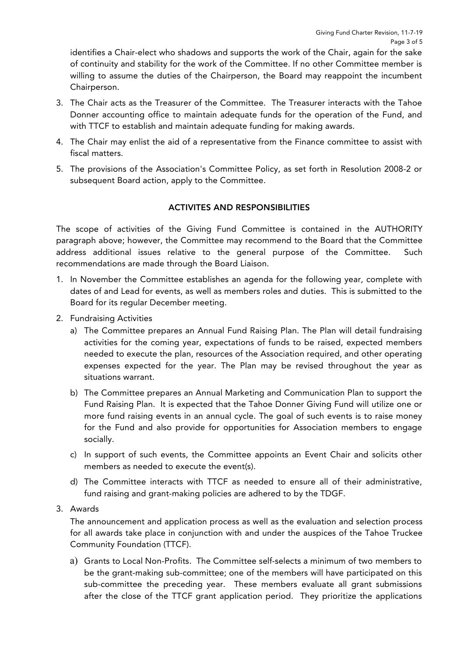identifies a Chair-elect who shadows and supports the work of the Chair, again for the sake of continuity and stability for the work of the Committee. If no other Committee member is willing to assume the duties of the Chairperson, the Board may reappoint the incumbent Chairperson.

- 3. The Chair acts as the Treasurer of the Committee. The Treasurer interacts with the Tahoe Donner accounting office to maintain adequate funds for the operation of the Fund, and with TTCF to establish and maintain adequate funding for making awards.
- 4. The Chair may enlist the aid of a representative from the Finance committee to assist with fiscal matters.
- 5. The provisions of the Association's Committee Policy, as set forth in Resolution 2008-2 or subsequent Board action, apply to the Committee.

## ACTIVITES AND RESPONSIBILITIES

The scope of activities of the Giving Fund Committee is contained in the AUTHORITY paragraph above; however, the Committee may recommend to the Board that the Committee address additional issues relative to the general purpose of the Committee. Such recommendations are made through the Board Liaison.

- 1. In November the Committee establishes an agenda for the following year, complete with dates of and Lead for events, as well as members roles and duties. This is submitted to the Board for its regular December meeting.
- 2. Fundraising Activities
	- a) The Committee prepares an Annual Fund Raising Plan. The Plan will detail fundraising activities for the coming year, expectations of funds to be raised, expected members needed to execute the plan, resources of the Association required, and other operating expenses expected for the year. The Plan may be revised throughout the year as situations warrant.
	- b) The Committee prepares an Annual Marketing and Communication Plan to support the Fund Raising Plan. It is expected that the Tahoe Donner Giving Fund will utilize one or more fund raising events in an annual cycle. The goal of such events is to raise money for the Fund and also provide for opportunities for Association members to engage socially.
	- c) In support of such events, the Committee appoints an Event Chair and solicits other members as needed to execute the event(s).
	- d) The Committee interacts with TTCF as needed to ensure all of their administrative, fund raising and grant-making policies are adhered to by the TDGF.
- 3. Awards

The announcement and application process as well as the evaluation and selection process for all awards take place in conjunction with and under the auspices of the Tahoe Truckee Community Foundation (TTCF).

a) Grants to Local Non-Profits. The Committee self-selects a minimum of two members to be the grant-making sub-committee; one of the members will have participated on this sub-committee the preceding year. These members evaluate all grant submissions after the close of the TTCF grant application period. They prioritize the applications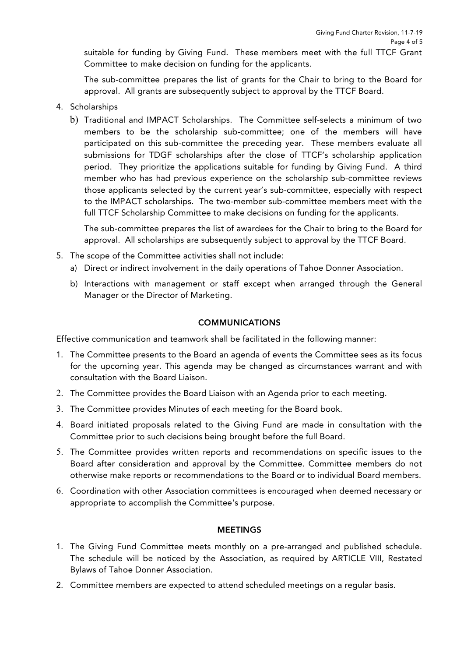suitable for funding by Giving Fund. These members meet with the full TTCF Grant Committee to make decision on funding for the applicants.

The sub-committee prepares the list of grants for the Chair to bring to the Board for approval. All grants are subsequently subject to approval by the TTCF Board.

- 4. Scholarships
	- b) Traditional and IMPACT Scholarships. The Committee self-selects a minimum of two members to be the scholarship sub-committee; one of the members will have participated on this sub-committee the preceding year. These members evaluate all submissions for TDGF scholarships after the close of TTCF's scholarship application period. They prioritize the applications suitable for funding by Giving Fund. A third member who has had previous experience on the scholarship sub-committee reviews those applicants selected by the current year's sub-committee, especially with respect to the IMPACT scholarships. The two-member sub-committee members meet with the full TTCF Scholarship Committee to make decisions on funding for the applicants.

The sub-committee prepares the list of awardees for the Chair to bring to the Board for approval. All scholarships are subsequently subject to approval by the TTCF Board.

- 5. The scope of the Committee activities shall not include:
	- a) Direct or indirect involvement in the daily operations of Tahoe Donner Association.
	- b) Interactions with management or staff except when arranged through the General Manager or the Director of Marketing.

### COMMUNICATIONS

Effective communication and teamwork shall be facilitated in the following manner:

- 1. The Committee presents to the Board an agenda of events the Committee sees as its focus for the upcoming year. This agenda may be changed as circumstances warrant and with consultation with the Board Liaison.
- 2. The Committee provides the Board Liaison with an Agenda prior to each meeting.
- 3. The Committee provides Minutes of each meeting for the Board book.
- 4. Board initiated proposals related to the Giving Fund are made in consultation with the Committee prior to such decisions being brought before the full Board.
- 5. The Committee provides written reports and recommendations on specific issues to the Board after consideration and approval by the Committee. Committee members do not otherwise make reports or recommendations to the Board or to individual Board members.
- 6. Coordination with other Association committees is encouraged when deemed necessary or appropriate to accomplish the Committee's purpose.

### MEETINGS

- 1. The Giving Fund Committee meets monthly on a pre-arranged and published schedule. The schedule will be noticed by the Association, as required by ARTICLE VIII, Restated Bylaws of Tahoe Donner Association.
- 2. Committee members are expected to attend scheduled meetings on a regular basis.